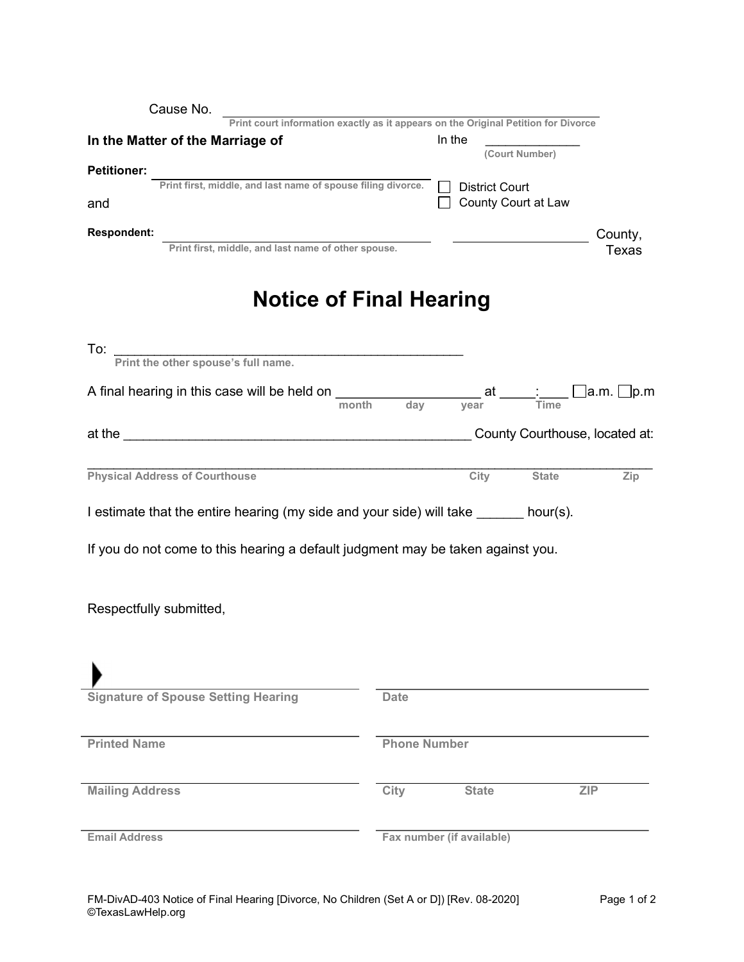| Cause No.<br>Print court information exactly as it appears on the Original Petition for Divorce |                     |                                 |              |
|-------------------------------------------------------------------------------------------------|---------------------|---------------------------------|--------------|
| In the Matter of the Marriage of                                                                |                     | In the                          |              |
|                                                                                                 |                     | (Court Number)                  |              |
| <b>Petitioner:</b><br>Print first, middle, and last name of spouse filing divorce.              |                     | $\Box$<br><b>District Court</b> |              |
| and                                                                                             |                     | County Court at Law             |              |
| Respondent:<br>Print first, middle, and last name of other spouse.                              |                     |                                 | County,      |
|                                                                                                 |                     |                                 | <b>Texas</b> |
| <b>Notice of Final Hearing</b>                                                                  |                     |                                 |              |
| To: Print the other spouse's full name.                                                         |                     |                                 |              |
|                                                                                                 |                     |                                 | Time         |
|                                                                                                 |                     |                                 |              |
| <b>Physical Address of Courthouse</b>                                                           |                     |                                 | <b>State</b> |
|                                                                                                 |                     | City                            | Zip          |
| I estimate that the entire hearing (my side and your side) will take ______ hour(s).            |                     |                                 |              |
| If you do not come to this hearing a default judgment may be taken against you.                 |                     |                                 |              |
|                                                                                                 |                     |                                 |              |
|                                                                                                 |                     |                                 |              |
| Respectfully submitted,                                                                         |                     |                                 |              |
|                                                                                                 |                     |                                 |              |
|                                                                                                 |                     |                                 |              |
| <b>Signature of Spouse Setting Hearing</b>                                                      | <b>Date</b>         |                                 |              |
|                                                                                                 |                     |                                 |              |
| <b>Printed Name</b>                                                                             | <b>Phone Number</b> |                                 |              |
|                                                                                                 |                     |                                 |              |
| <b>Mailing Address</b>                                                                          | City                | <b>State</b>                    | <b>ZIP</b>   |
| <b>Email Address</b>                                                                            |                     | Fax number (if available)       |              |
|                                                                                                 |                     |                                 |              |